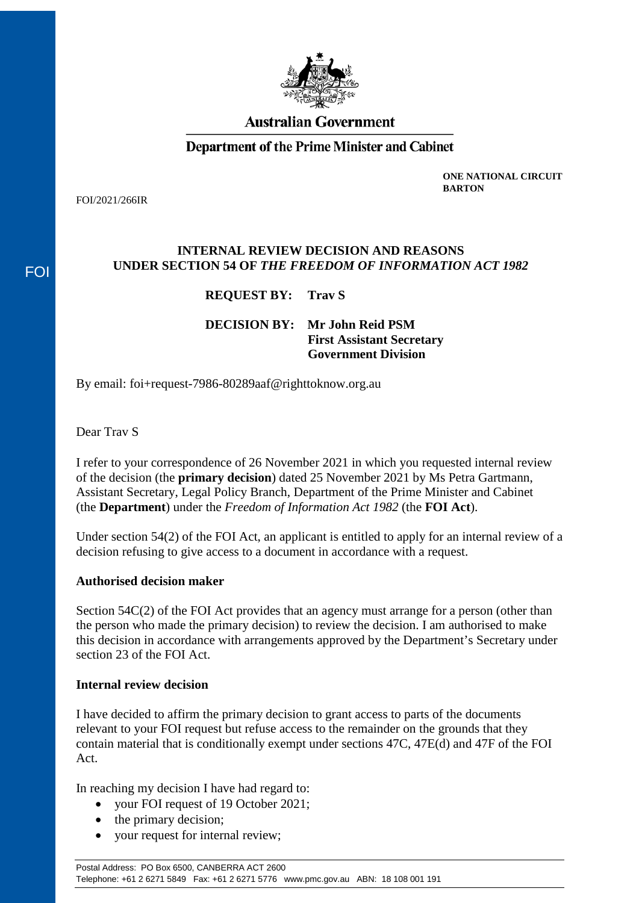

# **Australian Government**

# **Department of the Prime Minister and Cabinet**

FOI/2021/266IR

FOI

**ONE NATIONAL CIRCUIT BARTON**

#### **INTERNAL REVIEW DECISION AND REASONS UNDER SECTION 54 OF** *THE FREEDOM OF INFORMATION ACT 1982*

## **REQUEST BY: Trav S**

**DECISION BY: Mr John Reid PSM First Assistant Secretary Government Division**

By email: foi+request-7986-80289aaf@righttoknow.org.au

Dear Trav S

I refer to your correspondence of 26 November 2021 in which you requested internal review of the decision (the **primary decision**) dated 25 November 2021 by Ms Petra Gartmann, Assistant Secretary, Legal Policy Branch, Department of the Prime Minister and Cabinet (the **Department**) under the *Freedom of Information Act 1982* (the **FOI Act**).

Under section 54(2) of the FOI Act, an applicant is entitled to apply for an internal review of a decision refusing to give access to a document in accordance with a request.

#### **Authorised decision maker**

Section 54C(2) of the FOI Act provides that an agency must arrange for a person (other than the person who made the primary decision) to review the decision. I am authorised to make this decision in accordance with arrangements approved by the Department's Secretary under section 23 of the FOI Act.

#### **Internal review decision**

I have decided to affirm the primary decision to grant access to parts of the documents relevant to your FOI request but refuse access to the remainder on the grounds that they contain material that is conditionally exempt under sections 47C, 47E(d) and 47F of the FOI Act.

In reaching my decision I have had regard to:

- your FOI request of 19 October 2021;
- the primary decision;
- your request for internal review;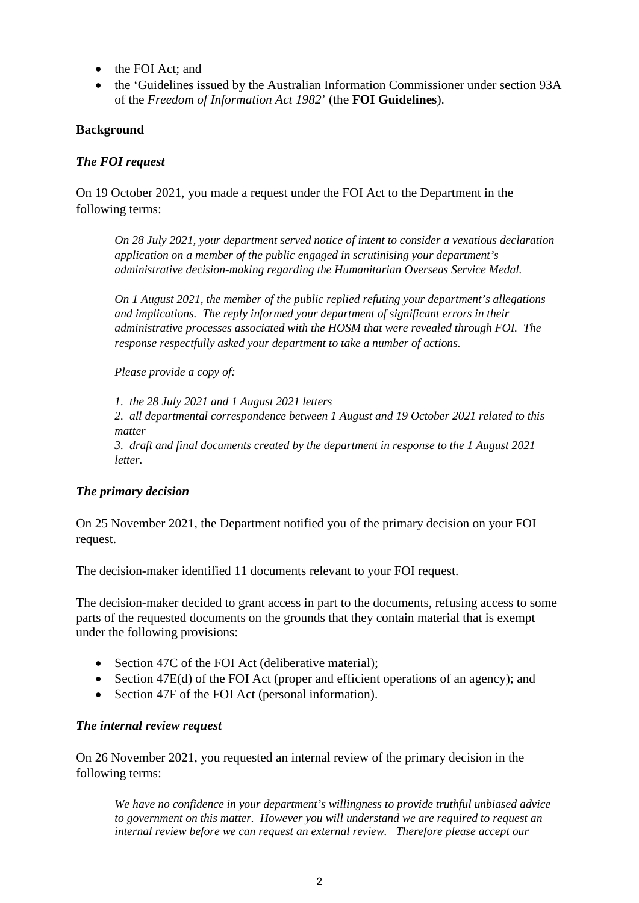- the FOI Act: and
- the 'Guidelines issued by the Australian Information Commissioner under section 93A of the *Freedom of Information Act 1982*' (the **FOI Guidelines**).

#### **Background**

#### *The FOI request*

On 19 October 2021, you made a request under the FOI Act to the Department in the following terms:

*On 28 July 2021, your department served notice of intent to consider a vexatious declaration application on a member of the public engaged in scrutinising your department's administrative decision-making regarding the Humanitarian Overseas Service Medal.* 

*On 1 August 2021, the member of the public replied refuting your department's allegations and implications. The reply informed your department of significant errors in their administrative processes associated with the HOSM that were revealed through FOI. The response respectfully asked your department to take a number of actions.* 

*Please provide a copy of:* 

*1. the 28 July 2021 and 1 August 2021 letters 2. all departmental correspondence between 1 August and 19 October 2021 related to this matter 3. draft and final documents created by the department in response to the 1 August 2021 letter.*

#### *The primary decision*

On 25 November 2021, the Department notified you of the primary decision on your FOI request.

The decision-maker identified 11 documents relevant to your FOI request.

The decision-maker decided to grant access in part to the documents, refusing access to some parts of the requested documents on the grounds that they contain material that is exempt under the following provisions:

- Section 47C of the FOI Act (deliberative material);
- Section 47E(d) of the FOI Act (proper and efficient operations of an agency); and
- Section 47F of the FOI Act (personal information).

#### *The internal review request*

On 26 November 2021, you requested an internal review of the primary decision in the following terms:

*We have no confidence in your department's willingness to provide truthful unbiased advice to government on this matter. However you will understand we are required to request an internal review before we can request an external review. Therefore please accept our*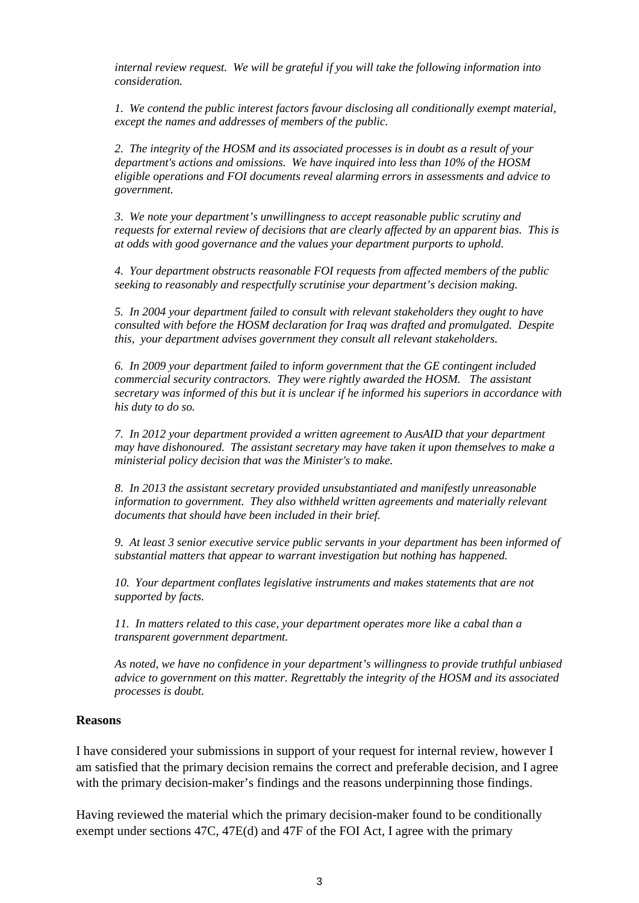*internal review request. We will be grateful if you will take the following information into consideration.* 

*1. We contend the public interest factors favour disclosing all conditionally exempt material, except the names and addresses of members of the public.* 

*2. The integrity of the HOSM and its associated processes is in doubt as a result of your department's actions and omissions. We have inquired into less than 10% of the HOSM eligible operations and FOI documents reveal alarming errors in assessments and advice to government.* 

*3. We note your department's unwillingness to accept reasonable public scrutiny and requests for external review of decisions that are clearly affected by an apparent bias. This is at odds with good governance and the values your department purports to uphold.* 

*4. Your department obstructs reasonable FOI requests from affected members of the public seeking to reasonably and respectfully scrutinise your department's decision making.* 

*5. In 2004 your department failed to consult with relevant stakeholders they ought to have consulted with before the HOSM declaration for Iraq was drafted and promulgated. Despite this, your department advises government they consult all relevant stakeholders.* 

*6. In 2009 your department failed to inform government that the GE contingent included commercial security contractors. They were rightly awarded the HOSM. The assistant secretary was informed of this but it is unclear if he informed his superiors in accordance with his duty to do so.* 

*7. In 2012 your department provided a written agreement to AusAID that your department may have dishonoured. The assistant secretary may have taken it upon themselves to make a ministerial policy decision that was the Minister's to make.* 

*8. In 2013 the assistant secretary provided unsubstantiated and manifestly unreasonable information to government. They also withheld written agreements and materially relevant documents that should have been included in their brief.* 

*9. At least 3 senior executive service public servants in your department has been informed of substantial matters that appear to warrant investigation but nothing has happened.* 

*10. Your department conflates legislative instruments and makes statements that are not supported by facts.* 

*11. In matters related to this case, your department operates more like a cabal than a transparent government department.* 

*As noted, we have no confidence in your department's willingness to provide truthful unbiased advice to government on this matter. Regrettably the integrity of the HOSM and its associated processes is doubt.*

#### **Reasons**

I have considered your submissions in support of your request for internal review, however I am satisfied that the primary decision remains the correct and preferable decision, and I agree with the primary decision-maker's findings and the reasons underpinning those findings.

Having reviewed the material which the primary decision-maker found to be conditionally exempt under sections 47C, 47E(d) and 47F of the FOI Act, I agree with the primary